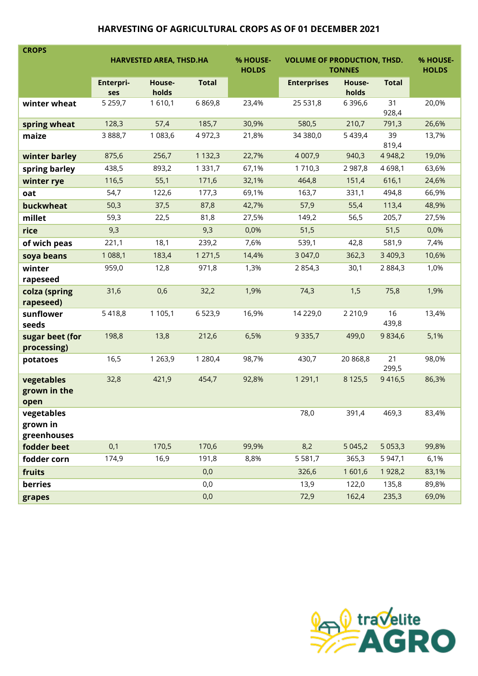## HARVESTING OF AGRICULTURAL CROPS AS OF 01 DECEMBER 2021

| <b>CROPS</b>                          |                         |            |                          |                                                     |                    |            |                          |       |
|---------------------------------------|-------------------------|------------|--------------------------|-----------------------------------------------------|--------------------|------------|--------------------------|-------|
|                                       | HARVESTED AREA, THSD.HA |            | % HOUSE-<br><b>HOLDS</b> | <b>VOLUME OF PRODUCTION, THSD.</b><br><b>TONNES</b> |                    |            | % HOUSE-<br><b>HOLDS</b> |       |
|                                       | Enterpri-               | House-     | <b>Total</b>             |                                                     | <b>Enterprises</b> | House-     | <b>Total</b>             |       |
|                                       | ses                     | holds      |                          |                                                     |                    | holds      |                          |       |
| winter wheat                          | 5 2 5 9, 7              | 1610,1     | 6869,8                   | 23,4%                                               | 25 531,8           | 6 3 9 6, 6 | 31<br>928,4              | 20,0% |
| spring wheat                          | 128,3                   | 57,4       | 185,7                    | 30,9%                                               | 580,5              | 210,7      | 791,3                    | 26,6% |
| maize                                 | 3888,7                  | 1 083,6    | 4 9 7 2, 3               | 21,8%                                               | 34 380,0           | 5 4 3 9,4  | 39<br>819,4              | 13,7% |
| winter barley                         | 875,6                   | 256,7      | 1 1 3 2, 3               | 22,7%                                               | 4 0 0 7,9          | 940,3      | 4 9 4 8, 2               | 19,0% |
| spring barley                         | 438,5                   | 893,2      | 1 3 3 1 , 7              | 67,1%                                               | 1 710,3            | 2 9 8 7,8  | 4698,1                   | 63,6% |
| winter rye                            | 116,5                   | 55,1       | 171,6                    | 32,1%                                               | 464,8              | 151,4      | 616,1                    | 24,6% |
| oat                                   | 54,7                    | 122,6      | 177,3                    | 69,1%                                               | 163,7              | 331,1      | 494,8                    | 66,9% |
| buckwheat                             | 50,3                    | 37,5       | 87,8                     | 42,7%                                               | 57,9               | 55,4       | 113,4                    | 48,9% |
| millet                                | 59,3                    | 22,5       | 81,8                     | 27,5%                                               | 149,2              | 56,5       | 205,7                    | 27,5% |
| rice                                  | 9,3                     |            | 9,3                      | 0,0%                                                | 51,5               |            | 51,5                     | 0,0%  |
| of wich peas                          | 221,1                   | 18,1       | 239,2                    | 7,6%                                                | 539,1              | 42,8       | 581,9                    | 7,4%  |
| soya beans                            | 1 088,1                 | 183,4      | 1 271,5                  | 14,4%                                               | 3 047,0            | 362,3      | 3 409,3                  | 10,6% |
| winter                                | 959,0                   | 12,8       | 971,8                    | 1,3%                                                | 2854,3             | 30,1       | 2 8 8 4 , 3              | 1,0%  |
| rapeseed                              | 31,6                    | 0,6        | 32,2                     | 1,9%                                                | 74,3               | 1,5        | 75,8                     | 1,9%  |
| colza (spring<br>rapeseed)            |                         |            |                          |                                                     |                    |            |                          |       |
| sunflower                             | 5418,8                  | 1 1 0 5, 1 | 6523,9                   | 16,9%                                               | 14 229,0           | 2 2 1 0,9  | 16                       | 13,4% |
| seeds                                 |                         |            |                          |                                                     |                    |            | 439,8                    |       |
| sugar beet (for<br>processing)        | 198,8                   | 13,8       | 212,6                    | 6,5%                                                | 9 3 3 5,7          | 499,0      | 9834,6                   | 5,1%  |
| potatoes                              | 16,5                    | 1 2 6 3, 9 | 1 2 8 0,4                | 98,7%                                               | 430,7              | 20 868,8   | 21<br>299,5              | 98,0% |
| vegetables<br>grown in the<br>open    | 32,8                    | 421,9      | 454,7                    | 92,8%                                               | 1 2 9 1 , 1        | 8 1 2 5, 5 | 9416,5                   | 86,3% |
| vegetables<br>grown in<br>greenhouses |                         |            |                          |                                                     | 78,0               | 391,4      | 469,3                    | 83,4% |
| fodder beet                           | 0,1                     | 170,5      | 170,6                    | 99,9%                                               | 8,2                | 5 0 4 5, 2 | 5 0 5 3, 3               | 99,8% |
| fodder corn                           | 174,9                   | 16,9       | 191,8                    | 8,8%                                                | 5 5 8 1 , 7        | 365,3      | 5 947,1                  | 6,1%  |
| fruits                                |                         |            | 0,0                      |                                                     | 326,6              | 1 601,6    | 1928,2                   | 83,1% |
| berries                               |                         |            | 0,0                      |                                                     | 13,9               | 122,0      | 135,8                    | 89,8% |
| grapes                                |                         |            | 0,0                      |                                                     | 72,9               | 162,4      | 235,3                    | 69,0% |